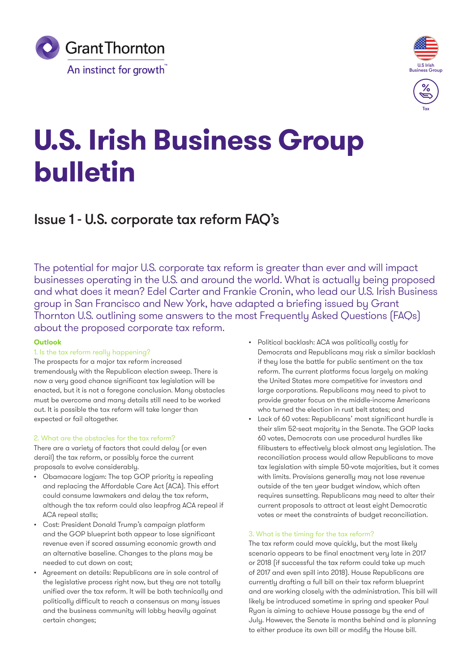



# **U.S. Irish Business Group bulletin**

## Issue 1 - U.S. corporate tax reform FAQ's

The potential for major U.S. corporate tax reform is greater than ever and will impact businesses operating in the U.S. and around the world. What is actually being proposed and what does it mean? Edel Carter and Frankie Cronin, who lead our U.S. Irish Business group in San Francisco and New York, have adapted a briefing issued by Grant Thornton U.S. outlining some answers to the most Frequently Asked Questions (FAQs) about the proposed corporate tax reform.

#### **Outlook**

#### 1. Is the tax reform really happening?

The prospects for a major tax reform increased tremendously with the Republican election sweep. There is now a very good chance significant tax legislation will be enacted, but it is not a foregone conclusion. Many obstacles must be overcome and many details still need to be worked out. It is possible the tax reform will take longer than expected or fail altogether.

#### 2. What are the obstacles for the tax reform?

There are a variety of factors that could delay (or even derail) the tax reform, or possibly force the current proposals to evolve considerably.

- Obamacare logjam: The top GOP priority is repealing and replacing the Affordable Care Act (ACA). This effort could consume lawmakers and delay the tax reform, although the tax reform could also leapfrog ACA repeal if ACA repeal stalls;
- Cost: President Donald Trump's campaign platform and the GOP blueprint both appear to lose significant revenue even if scored assuming economic growth and an alternative baseline. Changes to the plans may be needed to cut down on cost;
- Agreement on details: Republicans are in sole control of the legislative process right now, but they are not totally unified over the tax reform. It will be both technically and politically difficult to reach a consensus on many issues and the business community will lobby heavily against certain changes;
- Political backlash: ACA was politically costly for Democrats and Republicans may risk a similar backlash if they lose the battle for public sentiment on the tax reform. The current platforms focus largely on making the United States more competitive for investors and large corporations. Republicans may need to pivot to provide greater focus on the middle-income Americans who turned the election in rust belt states; and
- Lack of 60 votes: Republicans' most significant hurdle is their slim 52-seat majority in the Senate. The GOP lacks 60 votes, Democrats can use procedural hurdles like filibusters to effectively block almost any legislation. The reconciliation process would allow Republicans to move tax legislation with simple 50-vote majorities, but it comes with limits. Provisions generally may not lose revenue outside of the ten year budget window, which often requires sunsetting. Republicans may need to alter their current proposals to attract at least eight Democratic votes or meet the constraints of budget reconciliation.

#### 3. What is the timing for the tax reform?

The tax reform could move quickly, but the most likely scenario appears to be final enactment very late in 2017 or 2018 (if successful the tax reform could take up much of 2017 and even spill into 2018). House Republicans are currently drafting a full bill on their tax reform blueprint and are working closely with the administration. This bill will likely be introduced sometime in spring and speaker Paul Ryan is aiming to achieve House passage by the end of July. However, the Senate is months behind and is planning to either produce its own bill or modify the House bill.